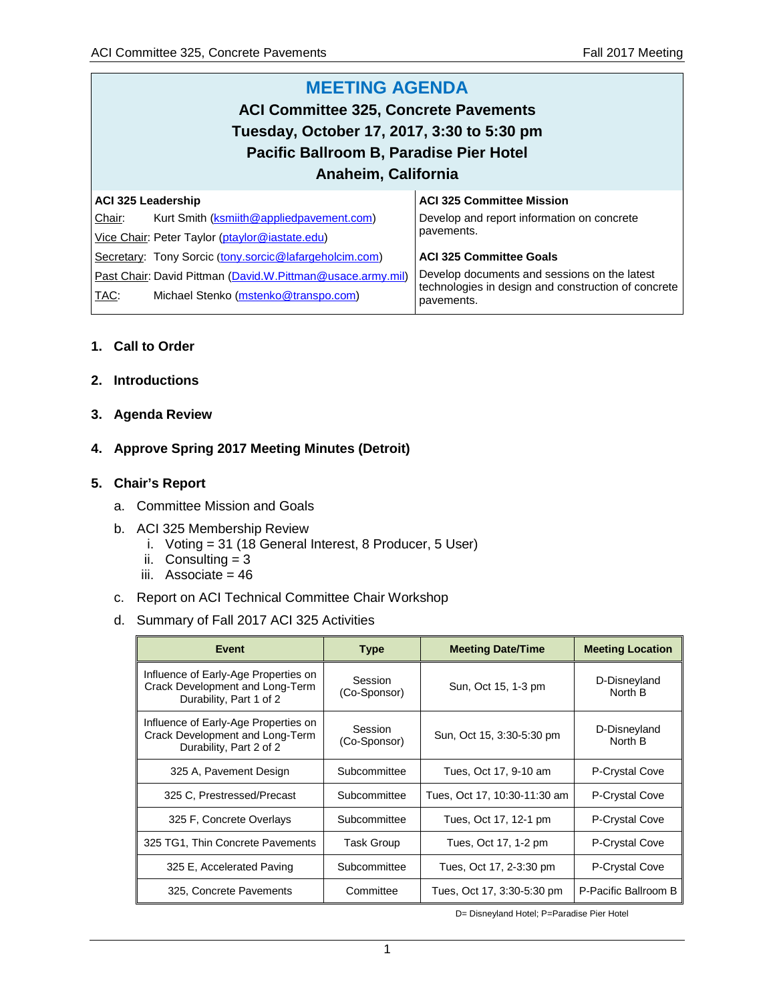#### **MEETING AGENDA ACI Committee 325, Concrete Pavements Tuesday, October 17, 2017, 3:30 to 5:30 pm Pacific Ballroom B, Paradise Pier Hotel Anaheim, California ACI 325 Leadership** Chair: Kurt Smith [\(ksmiith@appliedpavement.com\)](mailto:ksmiith@appliedpavement.com) Vice Chair: Peter Taylor [\(ptaylor@iastate.edu\)](mailto:ptaylor@iastate.edu) Secretary: Tony Sorcic ([tony.sorcic@lafargeholcim.com\)](mailto:tony.sorcic@lafargeholcim.com) Past Chair: David Pittman [\(David.W.Pittman@usace.army.mil\)](mailto:David.W.Pittman@usace.army.mil) TAC: Michael Stenko [\(mstenko@transpo.com\)](mailto:mstenko@transpo.com) **ACI 325 Committee Mission** Develop and report information on concrete pavements. **ACI 325 Committee Goals** Develop documents and sessions on the latest technologies in design and construction of concrete pavements.

## **1. Call to Order**

- **2. Introductions**
- **3. Agenda Review**

## **4. Approve Spring 2017 Meeting Minutes (Detroit)**

### **5. Chair's Report**

- a. Committee Mission and Goals
- b. ACI 325 Membership Review
	- i. Voting = 31 (18 General Interest, 8 Producer, 5 User)
	- ii. Consulting  $= 3$
	- iii. Associate = 46
- c. Report on ACI Technical Committee Chair Workshop
- d. Summary of Fall 2017 ACI 325 Activities

| <b>Event</b>                                                                                       | <b>Type</b>             | <b>Meeting Date/Time</b>     | <b>Meeting Location</b> |
|----------------------------------------------------------------------------------------------------|-------------------------|------------------------------|-------------------------|
| Influence of Early-Age Properties on<br>Crack Development and Long-Term<br>Durability, Part 1 of 2 | Session<br>(Co-Sponsor) | Sun, Oct 15, 1-3 pm          | D-Disneyland<br>North B |
| Influence of Early-Age Properties on<br>Crack Development and Long-Term<br>Durability, Part 2 of 2 | Session<br>(Co-Sponsor) | Sun, Oct 15, 3:30-5:30 pm    | D-Disneyland<br>North B |
| 325 A, Pavement Design                                                                             | Subcommittee            | Tues, Oct 17, 9-10 am        | P-Crystal Cove          |
| 325 C, Prestressed/Precast                                                                         | Subcommittee            | Tues, Oct 17, 10:30-11:30 am | P-Crystal Cove          |
| 325 F. Concrete Overlays                                                                           | Subcommittee            | Tues, Oct 17, 12-1 pm        | P-Crystal Cove          |
| 325 TG1, Thin Concrete Pavements                                                                   | Task Group              | Tues, Oct 17, 1-2 pm         | P-Crystal Cove          |
| 325 E, Accelerated Paving                                                                          | Subcommittee            | Tues, Oct 17, 2-3:30 pm      | P-Crystal Cove          |
| 325, Concrete Pavements                                                                            | Committee               | Tues, Oct 17, 3:30-5:30 pm   | P-Pacific Ballroom B    |

D= Disneyland Hotel; P=Paradise Pier Hotel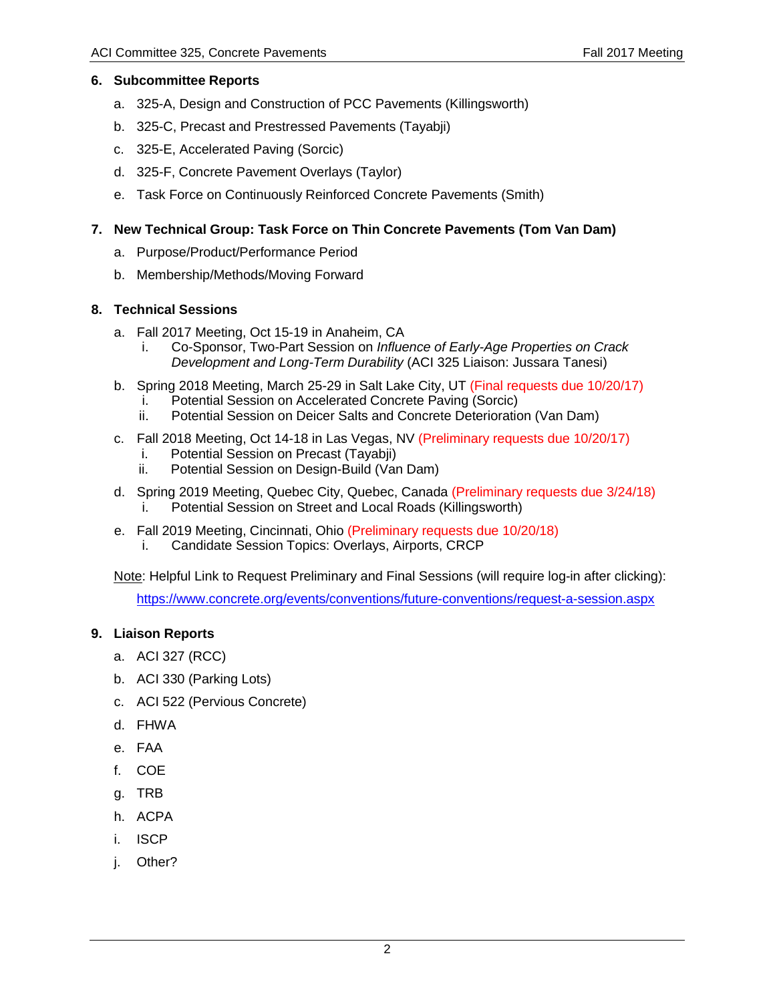### **6. Subcommittee Reports**

- a. 325-A, Design and Construction of PCC Pavements (Killingsworth)
- b. 325-C, Precast and Prestressed Pavements (Tayabji)
- c. 325-E, Accelerated Paving (Sorcic)
- d. 325-F, Concrete Pavement Overlays (Taylor)
- e. Task Force on Continuously Reinforced Concrete Pavements (Smith)

### **7. New Technical Group: Task Force on Thin Concrete Pavements (Tom Van Dam)**

- a. Purpose/Product/Performance Period
- b. Membership/Methods/Moving Forward

### **8. Technical Sessions**

- a. Fall 2017 Meeting, Oct 15-19 in Anaheim, CA
	- i. Co-Sponsor, Two-Part Session on *Influence of Early-Age Properties on Crack Development and Long-Term Durability* (ACI 325 Liaison: Jussara Tanesi)
- b. Spring 2018 Meeting, March 25-29 in Salt Lake City, UT (Final requests due 10/20/17)
	- i. Potential Session on Accelerated Concrete Paving (Sorcic)
	- ii. Potential Session on Deicer Salts and Concrete Deterioration (Van Dam)
- c. Fall 2018 Meeting, Oct 14-18 in Las Vegas, NV (Preliminary requests due 10/20/17)
	- i. Potential Session on Precast (Tayabji)
	- ii. Potential Session on Design-Build (Van Dam)
- d. Spring 2019 Meeting, Quebec City, Quebec, Canada (Preliminary requests due 3/24/18) i. Potential Session on Street and Local Roads (Killingsworth)
- e. Fall 2019 Meeting, Cincinnati, Ohio (Preliminary requests due 10/20/18)
	- i. Candidate Session Topics: Overlays, Airports, CRCP

Note: Helpful Link to Request Preliminary and Final Sessions (will require log-in after clicking):

<https://www.concrete.org/events/conventions/future-conventions/request-a-session.aspx>

### **9. Liaison Reports**

- a. ACI 327 (RCC)
- b. ACI 330 (Parking Lots)
- c. ACI 522 (Pervious Concrete)
- d. FHWA
- e. FAA
- f. COE
- g. TRB
- h. ACPA
- i. ISCP
- j. Other?